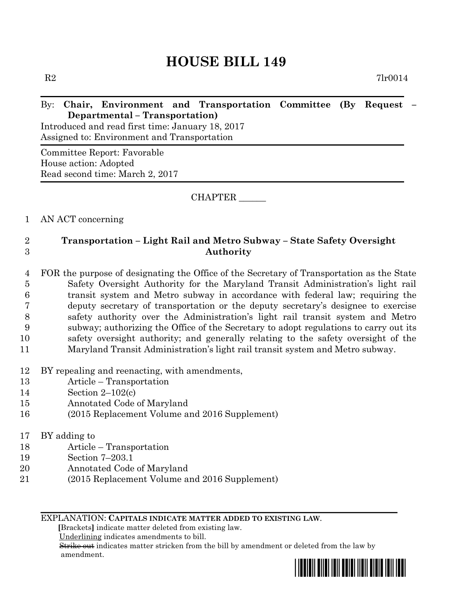# **HOUSE BILL 149**

 $R2$  7lr0014

## By: **Chair, Environment and Transportation Committee (By Request – Departmental – Transportation)**

Introduced and read first time: January 18, 2017 Assigned to: Environment and Transportation

Committee Report: Favorable House action: Adopted Read second time: March 2, 2017

CHAPTER \_\_\_\_\_\_

#### 1 AN ACT concerning

### 2 **Transportation – Light Rail and Metro Subway – State Safety Oversight**  3 **Authority**

 FOR the purpose of designating the Office of the Secretary of Transportation as the State Safety Oversight Authority for the Maryland Transit Administration's light rail transit system and Metro subway in accordance with federal law; requiring the deputy secretary of transportation or the deputy secretary's designee to exercise safety authority over the Administration's light rail transit system and Metro subway; authorizing the Office of the Secretary to adopt regulations to carry out its safety oversight authority; and generally relating to the safety oversight of the Maryland Transit Administration's light rail transit system and Metro subway.

- 12 BY repealing and reenacting, with amendments,
- 13 Article Transportation
- 14 Section 2–102(c)
- 15 Annotated Code of Maryland
- 16 (2015 Replacement Volume and 2016 Supplement)
- 17 BY adding to
- 18 Article Transportation
- 19 Section 7–203.1
- 20 Annotated Code of Maryland
- 21 (2015 Replacement Volume and 2016 Supplement)

#### EXPLANATION: **CAPITALS INDICATE MATTER ADDED TO EXISTING LAW**.

 **[**Brackets**]** indicate matter deleted from existing law.

Underlining indicates amendments to bill.

 Strike out indicates matter stricken from the bill by amendment or deleted from the law by amendment.